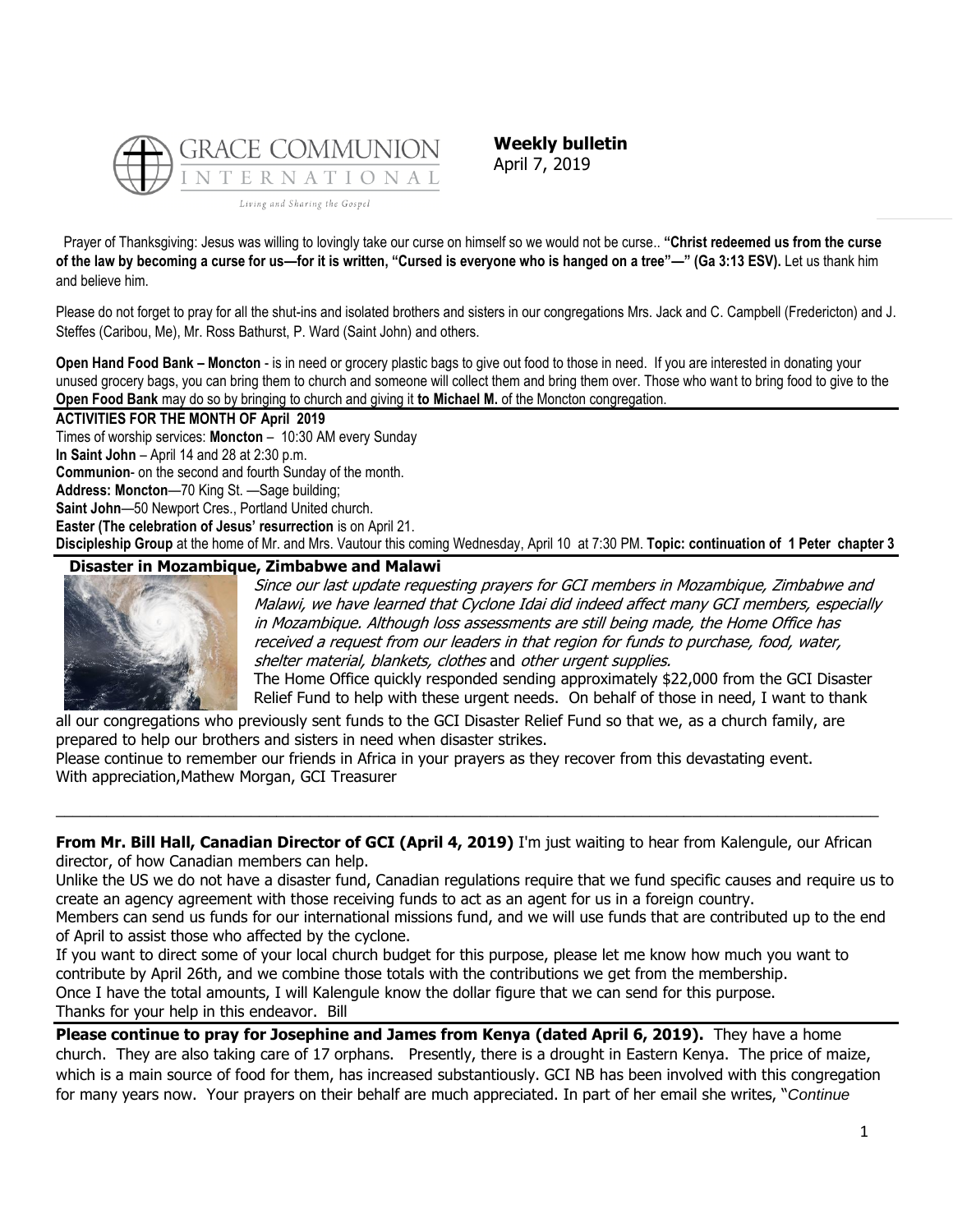

**Weekly bulletin** April 7, 2019

Prayer of Thanksgiving: Jesus was willing to lovingly take our curse on himself so we would not be curse.. **"Christ redeemed us from the curse of the law by becoming a curse for us—for it is written, "Cursed is everyone who is hanged on a tree"—" (Ga 3:13 ESV).** Let us thank him and believe him.

Please do not forget to pray for all the shut-ins and isolated brothers and sisters in our congregations Mrs. Jack and C. Campbell (Fredericton) and J. Steffes (Caribou, Me), Mr. Ross Bathurst, P. Ward (Saint John) and others.

**Open Hand Food Bank – Moncton** - is in need or grocery plastic bags to give out food to those in need. If you are interested in donating your unused grocery bags, you can bring them to church and someone will collect them and bring them over. Those who want to bring food to give to the **Open Food Bank** may do so by bringing to church and giving it **to Michael M.** of the Moncton congregation.

# **ACTIVITIES FOR THE MONTH OF April 2019**

Times of worship services: **Moncton** – 10:30 AM every Sunday

**In Saint John** – April 14 and 28 at 2:30 p.m.

**Communion**- on the second and fourth Sunday of the month.

**Address: Moncton**—70 King St. —Sage building;

**Saint John**—50 Newport Cres., Portland United church.

**Easter (The celebration of Jesus' resurrection** is on April 21.

**Discipleship Group** at the home of Mr. and Mrs. Vautour this coming Wednesday, April 10 at 7:30 PM. **Topic: continuation of 1 Peter chapter 3**

# **Disaster in Mozambique, Zimbabwe and Malawi**



Since our last update requesting prayers for GCI members in Mozambique, Zimbabwe and Malawi, we have learned that Cyclone Idai did indeed affect many GCI members, especially in Mozambique. Although loss assessments are still being made, the Home Office has received a request from our leaders in that region for funds to purchase, food, water, shelter material, blankets, clothes and other urgent supplies.

The Home Office quickly responded sending approximately \$22,000 from the GCI Disaster Relief Fund to help with these urgent needs. On behalf of those in need, I want to thank

all our congregations who previously sent funds to the GCI Disaster Relief Fund so that we, as a church family, are prepared to help our brothers and sisters in need when disaster strikes.

Please continue to remember our friends in Africa in your prayers as they recover from this devastating event. With appreciation,Mathew Morgan, GCI Treasurer

**From Mr. Bill Hall, Canadian Director of GCI (April 4, 2019)** I'm just waiting to hear from Kalengule, our African director, of how Canadian members can help.

\_\_\_\_\_\_\_\_\_\_\_\_\_\_\_\_\_\_\_\_\_\_\_\_\_\_\_\_\_\_\_\_\_\_\_\_\_\_\_\_\_\_\_\_\_\_\_\_\_\_\_\_\_\_\_\_\_\_\_\_\_\_\_\_\_\_\_\_\_\_\_\_\_\_\_\_\_\_\_\_\_\_\_\_\_\_\_\_\_\_\_\_\_\_\_\_\_

Unlike the US we do not have a disaster fund, Canadian regulations require that we fund specific causes and require us to create an agency agreement with those receiving funds to act as an agent for us in a foreign country.

Members can send us funds for our international missions fund, and we will use funds that are contributed up to the end of April to assist those who affected by the cyclone.

If you want to direct some of your local church budget for this purpose, please let me know how much you want to contribute by April 26th, and we combine those totals with the contributions we get from the membership. Once I have the total amounts, I will Kalengule know the dollar figure that we can send for this purpose. Thanks for your help in this endeavor. Bill

**Please continue to pray for Josephine and James from Kenya (dated April 6, 2019).** They have a home church. They are also taking care of 17 orphans. Presently, there is a drought in Eastern Kenya. The price of maize, which is a main source of food for them, has increased substantiously. GCI NB has been involved with this congregation for many years now. Your prayers on their behalf are much appreciated. In part of her email she writes, "*Continue*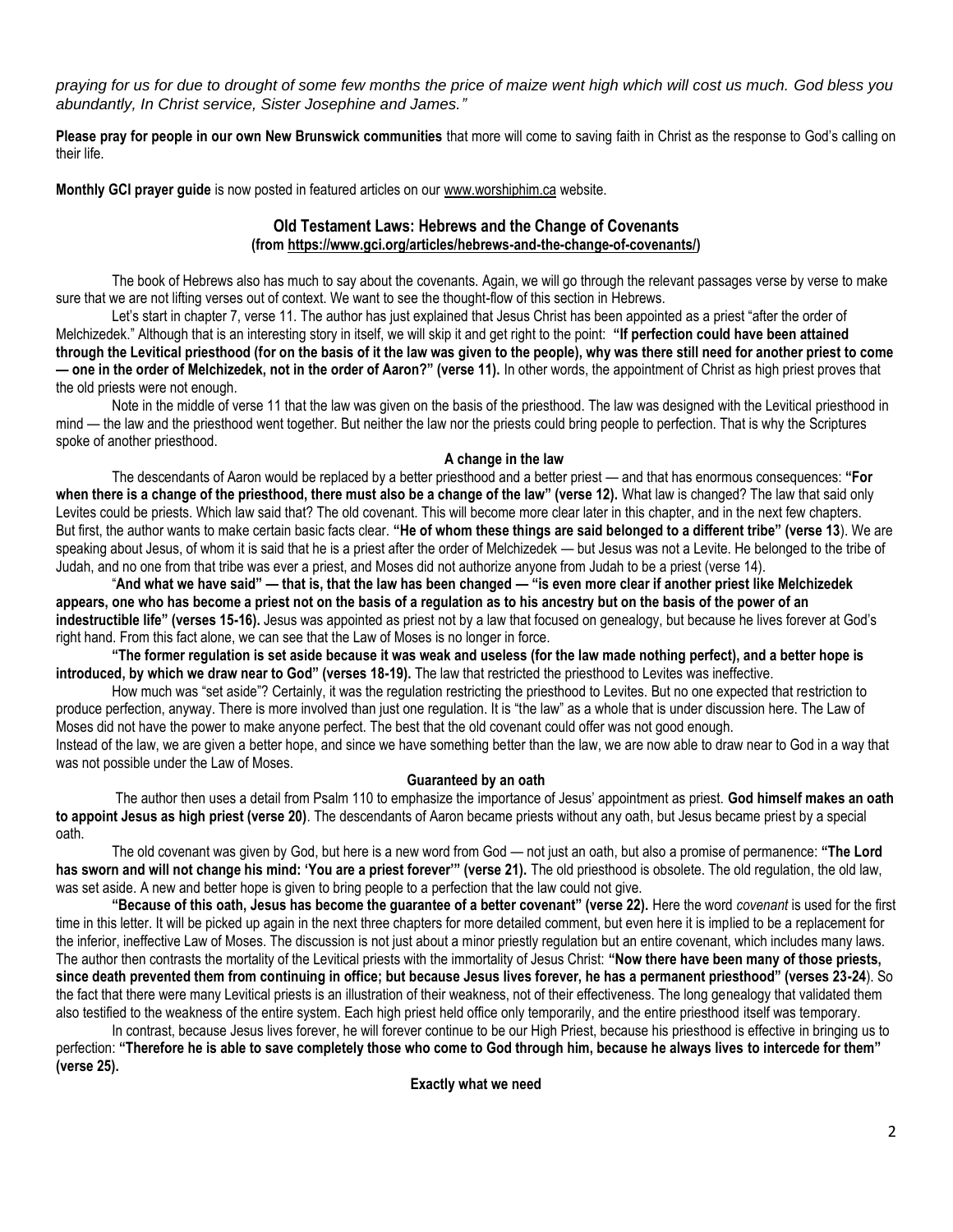*praying for us for due to drought of some few months the price of maize went high which will cost us much. God bless you abundantly, In Christ service, Sister Josephine and James."*

**Please pray for people in our own New Brunswick communities** that more will come to saving faith in Christ as the response to God's calling on their life.

**Monthly GCI prayer guide** is now posted in featured articles on our [www.worshiphim.ca](http://www.worshiphim.ca/) website.

# **Old Testament Laws: Hebrews and the Change of Covenants (from [https://www.gci.org/articles/hebrews-and-the-change-of-covenants/\)](https://www.gci.org/articles/hebrews-and-the-change-of-covenants/)**

The book of Hebrews also has much to say about the covenants. Again, we will go through the relevant passages verse by verse to make sure that we are not lifting verses out of context. We want to see the thought-flow of this section in Hebrews.

Let's start in chapter 7, verse 11. The author has just explained that Jesus Christ has been appointed as a priest "after the order of Melchizedek." Although that is an interesting story in itself, we will skip it and get right to the point: **"If perfection could have been attained through the Levitical priesthood (for on the basis of it the law was given to the people), why was there still need for another priest to come — one in the order of Melchizedek, not in the order of Aaron?" (verse 11).** In other words, the appointment of Christ as high priest proves that the old priests were not enough.

Note in the middle of verse 11 that the law was given on the basis of the priesthood. The law was designed with the Levitical priesthood in mind — the law and the priesthood went together. But neither the law nor the priests could bring people to perfection. That is why the Scriptures spoke of another priesthood.

# **A change in the law**

The descendants of Aaron would be replaced by a better priesthood and a better priest — and that has enormous consequences: **"For when there is a change of the priesthood, there must also be a change of the law" (verse 12).** What law is changed? The law that said only Levites could be priests. Which law said that? The old covenant. This will become more clear later in this chapter, and in the next few chapters. But first, the author wants to make certain basic facts clear. **"He of whom these things are said belonged to a different tribe" (verse 13**). We are speaking about Jesus, of whom it is said that he is a priest after the order of Melchizedek — but Jesus was not a Levite. He belonged to the tribe of Judah, and no one from that tribe was ever a priest, and Moses did not authorize anyone from Judah to be a priest (verse 14).

"And what we have said" — that is, that the law has been changed — "is even more clear if another priest like Melchizedek **appears, one who has become a priest not on the basis of a regulation as to his ancestry but on the basis of the power of an indestructible life" (verses 15-16).** Jesus was appointed as priest not by a law that focused on genealogy, but because he lives forever at God's right hand. From this fact alone, we can see that the Law of Moses is no longer in force.

**"The former regulation is set aside because it was weak and useless (for the law made nothing perfect), and a better hope is introduced, by which we draw near to God" (verses 18-19).** The law that restricted the priesthood to Levites was ineffective.

How much was "set aside"? Certainly, it was the regulation restricting the priesthood to Levites. But no one expected that restriction to produce perfection, anyway. There is more involved than just one regulation. It is "the law" as a whole that is under discussion here. The Law of Moses did not have the power to make anyone perfect. The best that the old covenant could offer was not good enough. Instead of the law, we are given a better hope, and since we have something better than the law, we are now able to draw near to God in a way that was not possible under the Law of Moses.

## **Guaranteed by an oath**

The author then uses a detail from Psalm 110 to emphasize the importance of Jesus' appointment as priest. **God himself makes an oath to appoint Jesus as high priest (verse 20)**. The descendants of Aaron became priests without any oath, but Jesus became priest by a special oath.

The old covenant was given by God, but here is a new word from God — not just an oath, but also a promise of permanence: **"The Lord**  has sworn and will not change his mind: 'You are a priest forever'" (verse 21). The old priesthood is obsolete. The old regulation, the old law, was set aside. A new and better hope is given to bring people to a perfection that the law could not give.

**"Because of this oath, Jesus has become the guarantee of a better covenant" (verse 22).** Here the word *covenant* is used for the first time in this letter. It will be picked up again in the next three chapters for more detailed comment, but even here it is implied to be a replacement for the inferior, ineffective Law of Moses. The discussion is not just about a minor priestly regulation but an entire covenant, which includes many laws. The author then contrasts the mortality of the Levitical priests with the immortality of Jesus Christ: **"Now there have been many of those priests, since death prevented them from continuing in office; but because Jesus lives forever, he has a permanent priesthood" (verses 23-24**). So the fact that there were many Levitical priests is an illustration of their weakness, not of their effectiveness. The long genealogy that validated them also testified to the weakness of the entire system. Each high priest held office only temporarily, and the entire priesthood itself was temporary.

In contrast, because Jesus lives forever, he will forever continue to be our High Priest, because his priesthood is effective in bringing us to perfection: **"Therefore he is able to save completely those who come to God through him, because he always lives to intercede for them" (verse 25).**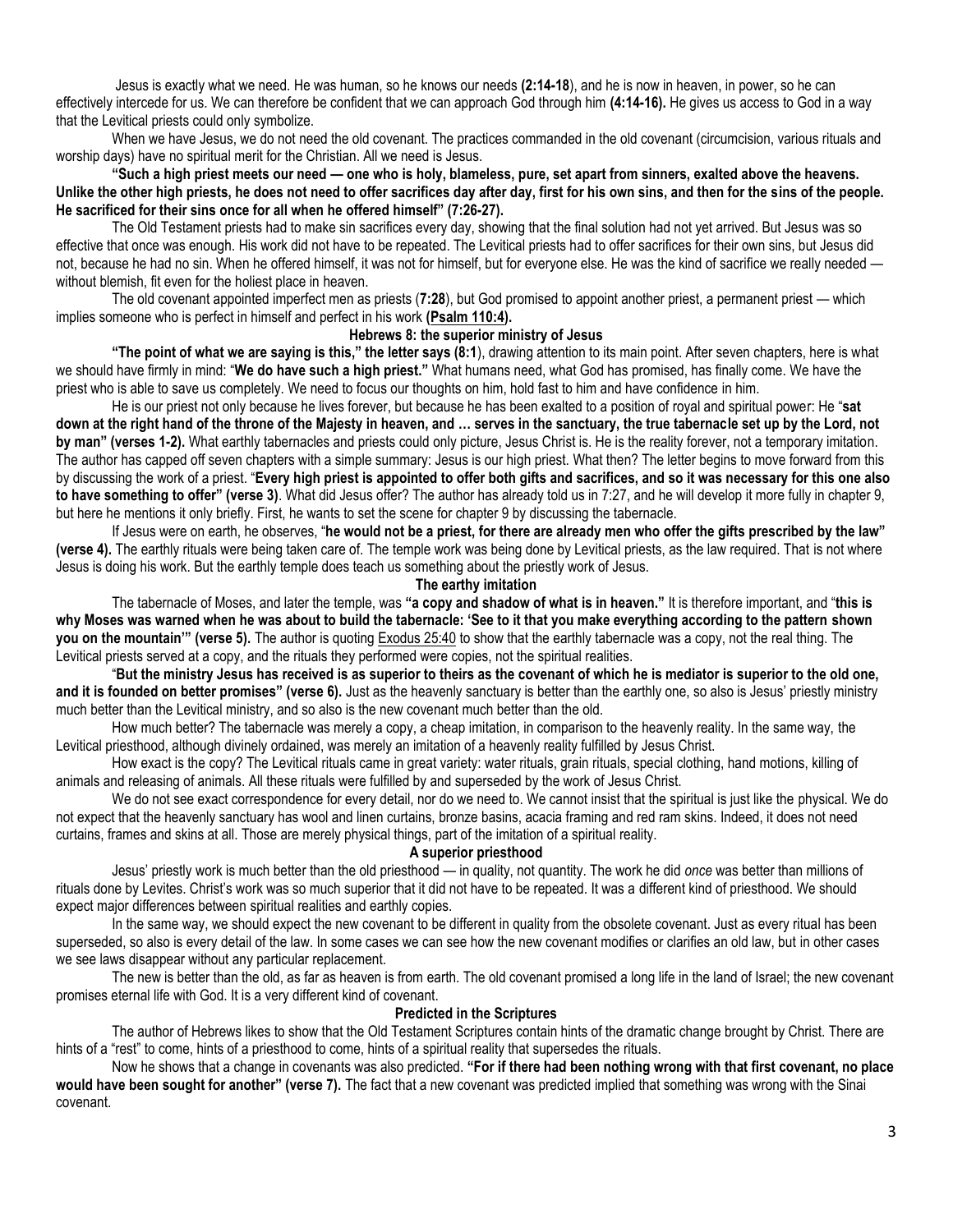Jesus is exactly what we need. He was human, so he knows our needs **(2:14-18**), and he is now in heaven, in power, so he can effectively intercede for us. We can therefore be confident that we can approach God through him **(4:14-16).** He gives us access to God in a way that the Levitical priests could only symbolize.

When we have Jesus, we do not need the old covenant. The practices commanded in the old covenant (circumcision, various rituals and worship days) have no spiritual merit for the Christian. All we need is Jesus.

**"Such a high priest meets our need — one who is holy, blameless, pure, set apart from sinners, exalted above the heavens. Unlike the other high priests, he does not need to offer sacrifices day after day, first for his own sins, and then for the sins of the people. He sacrificed for their sins once for all when he offered himself" (7:26-27).**

The Old Testament priests had to make sin sacrifices every day, showing that the final solution had not yet arrived. But Jesus was so effective that once was enough. His work did not have to be repeated. The Levitical priests had to offer sacrifices for their own sins, but Jesus did not, because he had no sin. When he offered himself, it was not for himself, but for everyone else. He was the kind of sacrifice we really needed without blemish, fit even for the holiest place in heaven.

The old covenant appointed imperfect men as priests (**7:28**), but God promised to appoint another priest, a permanent priest — which implies someone who is perfect in himself and perfect in his work **[\(Psalm 110:4\)](https://biblia.com/bible/niv/Ps%20110.4).**

# **Hebrews 8: the superior ministry of Jesus**

**"The point of what we are saying is this," the letter says (8:1**), drawing attention to its main point. After seven chapters, here is what we should have firmly in mind: "**We do have such a high priest."** What humans need, what God has promised, has finally come. We have the priest who is able to save us completely. We need to focus our thoughts on him, hold fast to him and have confidence in him.

He is our priest not only because he lives forever, but because he has been exalted to a position of royal and spiritual power: He "**sat down at the right hand of the throne of the Majesty in heaven, and … serves in the sanctuary, the true tabernacle set up by the Lord, not by man" (verses 1-2).** What earthly tabernacles and priests could only picture, Jesus Christ is. He is the reality forever, not a temporary imitation. The author has capped off seven chapters with a simple summary: Jesus is our high priest. What then? The letter begins to move forward from this by discussing the work of a priest. "**Every high priest is appointed to offer both gifts and sacrifices, and so it was necessary for this one also to have something to offer" (verse 3)**. What did Jesus offer? The author has already told us in 7:27, and he will develop it more fully in chapter 9, but here he mentions it only briefly. First, he wants to set the scene for chapter 9 by discussing the tabernacle.

If Jesus were on earth, he observes, "**he would not be a priest, for there are already men who offer the gifts prescribed by the law" (verse 4).** The earthly rituals were being taken care of. The temple work was being done by Levitical priests, as the law required. That is not where Jesus is doing his work. But the earthly temple does teach us something about the priestly work of Jesus.

## **The earthy imitation**

The tabernacle of Moses, and later the temple, was **"a copy and shadow of what is in heaven."** It is therefore important, and "**this is why Moses was warned when he was about to build the tabernacle: 'See to it that you make everything according to the pattern shown you on the mountain'" (verse 5).** The author is quoting [Exodus 25:40](https://biblia.com/bible/niv/Exod%2025.40) to show that the earthly tabernacle was a copy, not the real thing. The Levitical priests served at a copy, and the rituals they performed were copies, not the spiritual realities.

"**But the ministry Jesus has received is as superior to theirs as the covenant of which he is mediator is superior to the old one, and it is founded on better promises" (verse 6).** Just as the heavenly sanctuary is better than the earthly one, so also is Jesus' priestly ministry much better than the Levitical ministry, and so also is the new covenant much better than the old.

How much better? The tabernacle was merely a copy, a cheap imitation, in comparison to the heavenly reality. In the same way, the Levitical priesthood, although divinely ordained, was merely an imitation of a heavenly reality fulfilled by Jesus Christ.

How exact is the copy? The Levitical rituals came in great variety: water rituals, grain rituals, special clothing, hand motions, killing of animals and releasing of animals. All these rituals were fulfilled by and superseded by the work of Jesus Christ.

We do not see exact correspondence for every detail, nor do we need to. We cannot insist that the spiritual is just like the physical. We do not expect that the heavenly sanctuary has wool and linen curtains, bronze basins, acacia framing and red ram skins. Indeed, it does not need curtains, frames and skins at all. Those are merely physical things, part of the imitation of a spiritual reality.

# **A superior priesthood**

Jesus' priestly work is much better than the old priesthood — in quality, not quantity. The work he did *once* was better than millions of rituals done by Levites. Christ's work was so much superior that it did not have to be repeated. It was a different kind of priesthood. We should expect major differences between spiritual realities and earthly copies.

In the same way, we should expect the new covenant to be different in quality from the obsolete covenant. Just as every ritual has been superseded, so also is every detail of the law. In some cases we can see how the new covenant modifies or clarifies an old law, but in other cases we see laws disappear without any particular replacement.

The new is better than the old, as far as heaven is from earth. The old covenant promised a long life in the land of Israel; the new covenant promises eternal life with God. It is a very different kind of covenant.

## **Predicted in the Scriptures**

The author of Hebrews likes to show that the Old Testament Scriptures contain hints of the dramatic change brought by Christ. There are hints of a "rest" to come, hints of a priesthood to come, hints of a spiritual reality that supersedes the rituals.

Now he shows that a change in covenants was also predicted. **"For if there had been nothing wrong with that first covenant, no place would have been sought for another" (verse 7).** The fact that a new covenant was predicted implied that something was wrong with the Sinai covenant.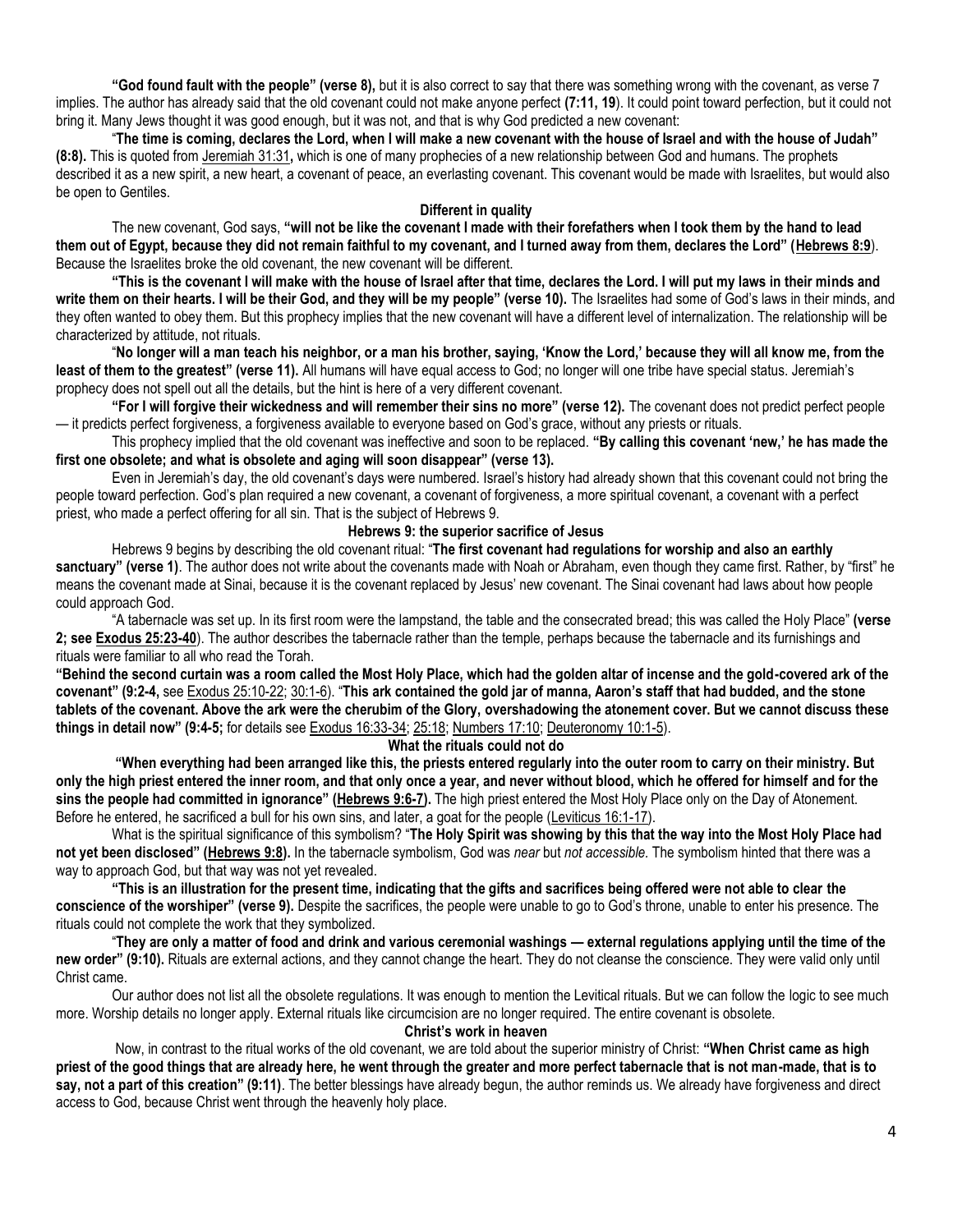**"God found fault with the people" (verse 8),** but it is also correct to say that there was something wrong with the covenant, as verse 7 implies. The author has already said that the old covenant could not make anyone perfect **(7:11, 19**). It could point toward perfection, but it could not bring it. Many Jews thought it was good enough, but it was not, and that is why God predicted a new covenant:

"**The time is coming, declares the Lord, when I will make a new covenant with the house of Israel and with the house of Judah" (8:8).** This is quoted from [Jeremiah 31:31](https://biblia.com/bible/niv/Jer%2031.31)**,** which is one of many prophecies of a new relationship between God and humans. The prophets described it as a new spirit, a new heart, a covenant of peace, an everlasting covenant. This covenant would be made with Israelites, but would also be open to Gentiles.

## **Different in quality**

The new covenant, God says, **"will not be like the covenant I made with their forefathers when I took them by the hand to lead them out of Egypt, because they did not remain faithful to my covenant, and I turned away from them, declares the Lord" ([Hebrews 8:9](https://biblia.com/bible/niv/Heb%208.9)**). Because the Israelites broke the old covenant, the new covenant will be different.

**"This is the covenant I will make with the house of Israel after that time, declares the Lord. I will put my laws in their minds and write them on their hearts. I will be their God, and they will be my people" (verse 10).** The Israelites had some of God's laws in their minds, and they often wanted to obey them. But this prophecy implies that the new covenant will have a different level of internalization. The relationship will be characterized by attitude, not rituals.

"**No longer will a man teach his neighbor, or a man his brother, saying, 'Know the Lord,' because they will all know me, from the**  least of them to the greatest" (verse 11). All humans will have equal access to God; no longer will one tribe have special status. Jeremiah's prophecy does not spell out all the details, but the hint is here of a very different covenant.

**"For I will forgive their wickedness and will remember their sins no more" (verse 12).** The covenant does not predict perfect people — it predicts perfect forgiveness, a forgiveness available to everyone based on God's grace, without any priests or rituals.

This prophecy implied that the old covenant was ineffective and soon to be replaced. **"By calling this covenant 'new,' he has made the first one obsolete; and what is obsolete and aging will soon disappear" (verse 13).**

Even in Jeremiah's day, the old covenant's days were numbered. Israel's history had already shown that this covenant could not bring the people toward perfection. God's plan required a new covenant, a covenant of forgiveness, a more spiritual covenant, a covenant with a perfect priest, who made a perfect offering for all sin. That is the subject of Hebrews 9.

# **Hebrews 9: the superior sacrifice of Jesus**

Hebrews 9 begins by describing the old covenant ritual: "**The first covenant had regulations for worship and also an earthly sanctuary" (verse 1)**. The author does not write about the covenants made with Noah or Abraham, even though they came first. Rather, by "first" he means the covenant made at Sinai, because it is the covenant replaced by Jesus' new covenant. The Sinai covenant had laws about how people could approach God.

"A tabernacle was set up. In its first room were the lampstand, the table and the consecrated bread; this was called the Holy Place" **(verse 2; se[e Exodus 25:23-40](https://biblia.com/bible/niv/Exod%2025.23-40)**). The author describes the tabernacle rather than the temple, perhaps because the tabernacle and its furnishings and rituals were familiar to all who read the Torah.

**"Behind the second curtain was a room called the Most Holy Place, which had the golden altar of incense and the gold-covered ark of the covenant" (9:2-4,** se[e Exodus 25:10-22;](https://biblia.com/bible/niv/Exod%2025.10-22) [30:1-6](https://biblia.com/bible/niv/Exodus%2030.1-6)). "**This ark contained the gold jar of manna, Aaron's staff that had budded, and the stone tablets of the covenant. Above the ark were the cherubim of the Glory, overshadowing the atonement cover. But we cannot discuss these things in detail now" (9:4-5;** for details see [Exodus 16:33-34;](https://biblia.com/bible/niv/Exod%2016.33-34) [25:18;](https://biblia.com/bible/niv/Exodus%2025.18) [Numbers 17:10;](https://biblia.com/bible/niv/Num%2017.10) [Deuteronomy 10:1-5\)](https://biblia.com/bible/niv/Deut%2010.1-5).

## **What the rituals could not do**

**"When everything had been arranged like this, the priests entered regularly into the outer room to carry on their ministry. But only the high priest entered the inner room, and that only once a year, and never without blood, which he offered for himself and for the sins the people had committed in ignorance" ([Hebrews 9:6-7\)](https://biblia.com/bible/niv/Heb%209.6-7).** The high priest entered the Most Holy Place only on the Day of Atonement. Before he entered, he sacrificed a bull for his own sins, and later, a goat for the people [\(Leviticus 16:1-17\)](https://biblia.com/bible/niv/Lev%2016.1-17).

What is the spiritual significance of this symbolism? "**The Holy Spirit was showing by this that the way into the Most Holy Place had not yet been disclosed" ([Hebrews 9:8\)](https://biblia.com/bible/niv/Heb%209.8).** In the tabernacle symbolism, God was *near* but *not accessible.* The symbolism hinted that there was a way to approach God, but that way was not yet revealed.

**"This is an illustration for the present time, indicating that the gifts and sacrifices being offered were not able to clear the conscience of the worshiper" (verse 9).** Despite the sacrifices, the people were unable to go to God's throne, unable to enter his presence. The rituals could not complete the work that they symbolized.

"**They are only a matter of food and drink and various ceremonial washings — external regulations applying until the time of the new order" (9:10).** Rituals are external actions, and they cannot change the heart. They do not cleanse the conscience. They were valid only until Christ came.

Our author does not list all the obsolete regulations. It was enough to mention the Levitical rituals. But we can follow the logic to see much more. Worship details no longer apply. External rituals like circumcision are no longer required. The entire covenant is obsolete.

**Christ's work in heaven**

Now, in contrast to the ritual works of the old covenant, we are told about the superior ministry of Christ: **"When Christ came as high priest of the good things that are already here, he went through the greater and more perfect tabernacle that is not man-made, that is to say, not a part of this creation" (9:11)**. The better blessings have already begun, the author reminds us. We already have forgiveness and direct access to God, because Christ went through the heavenly holy place.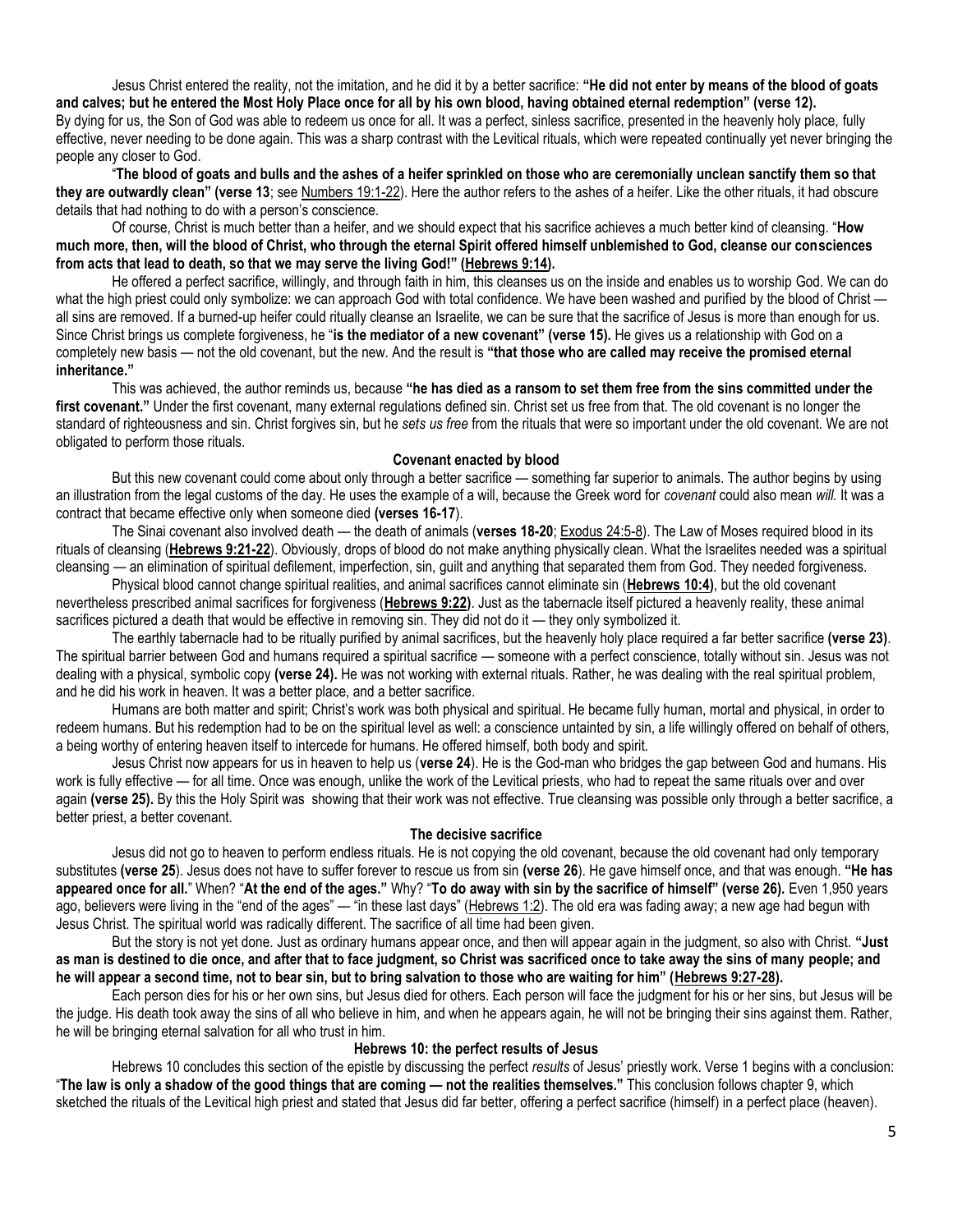Jesus Christ entered the reality, not the imitation, and he did it by a better sacrifice: **"He did not enter by means of the blood of goats and calves; but he entered the Most Holy Place once for all by his own blood, having obtained eternal redemption" (verse 12).** By dying for us, the Son of God was able to redeem us once for all. It was a perfect, sinless sacrifice, presented in the heavenly holy place, fully effective, never needing to be done again. This was a sharp contrast with the Levitical rituals, which were repeated continually yet never bringing the people any closer to God.

"**The blood of goats and bulls and the ashes of a heifer sprinkled on those who are ceremonially unclean sanctify them so that they are outwardly clean" (verse 13**; se[e Numbers 19:1-22\)](https://biblia.com/bible/niv/Num%2019.1-22). Here the author refers to the ashes of a heifer. Like the other rituals, it had obscure details that had nothing to do with a person's conscience.

Of course, Christ is much better than a heifer, and we should expect that his sacrifice achieves a much better kind of cleansing. "**How much more, then, will the blood of Christ, who through the eternal Spirit offered himself unblemished to God, cleanse our consciences from acts that lead to death, so that we may serve the living God!" ([Hebrews 9:14\)](https://biblia.com/bible/niv/Heb%209.14).**

He offered a perfect sacrifice, willingly, and through faith in him, this cleanses us on the inside and enables us to worship God. We can do what the high priest could only symbolize: we can approach God with total confidence. We have been washed and purified by the blood of Christ all sins are removed. If a burned-up heifer could ritually cleanse an Israelite, we can be sure that the sacrifice of Jesus is more than enough for us. Since Christ brings us complete forgiveness, he "**is the mediator of a new covenant" (verse 15).** He gives us a relationship with God on a completely new basis — not the old covenant, but the new. And the result is **"that those who are called may receive the promised eternal inheritance."**

This was achieved, the author reminds us, because **"he has died as a ransom to set them free from the sins committed under the**  first covenant." Under the first covenant, many external regulations defined sin. Christ set us free from that. The old covenant is no longer the standard of righteousness and sin. Christ forgives sin, but he *sets us free* from the rituals that were so important under the old covenant. We are not obligated to perform those rituals.

## **Covenant enacted by blood**

But this new covenant could come about only through a better sacrifice — something far superior to animals. The author begins by using an illustration from the legal customs of the day. He uses the example of a will, because the Greek word for *covenant* could also mean *will.* It was a contract that became effective only when someone died **(verses 16-17**).

The Sinai covenant also involved death — the death of animals (**verses 18-20**; [Exodus 24:5-8\)](https://biblia.com/bible/niv/Exod%2024.5-8). The Law of Moses required blood in its rituals of cleansing (**[Hebrews 9:21-22](https://biblia.com/bible/niv/Heb%209.21-22)**). Obviously, drops of blood do not make anything physically clean. What the Israelites needed was a spiritual cleansing — an elimination of spiritual defilement, imperfection, sin, guilt and anything that separated them from God. They needed forgiveness.

Physical blood cannot change spiritual realities, and animal sacrifices cannot eliminate sin (**[Hebrews 10:4\)](https://biblia.com/bible/niv/Heb%2010.4)**, but the old covenant nevertheless prescribed animal sacrifices for forgiveness (**[Hebrews 9:22\)](https://biblia.com/bible/niv/Heb%209.22)**. Just as the tabernacle itself pictured a heavenly reality, these animal sacrifices pictured a death that would be effective in removing sin. They did not do it — they only symbolized it.

The earthly tabernacle had to be ritually purified by animal sacrifices, but the heavenly holy place required a far better sacrifice **(verse 23)**. The spiritual barrier between God and humans required a spiritual sacrifice — someone with a perfect conscience, totally without sin. Jesus was not dealing with a physical, symbolic copy **(verse 24).** He was not working with external rituals. Rather, he was dealing with the real spiritual problem, and he did his work in heaven. It was a better place, and a better sacrifice.

Humans are both matter and spirit; Christ's work was both physical and spiritual. He became fully human, mortal and physical, in order to redeem humans. But his redemption had to be on the spiritual level as well: a conscience untainted by sin, a life willingly offered on behalf of others, a being worthy of entering heaven itself to intercede for humans. He offered himself, both body and spirit.

Jesus Christ now appears for us in heaven to help us (**verse 24**). He is the God-man who bridges the gap between God and humans. His work is fully effective — for all time. Once was enough, unlike the work of the Levitical priests, who had to repeat the same rituals over and over again (verse 25). By this the Holy Spirit was showing that their work was not effective. True cleansing was possible only through a better sacrifice, a better priest, a better covenant.

#### **The decisive sacrifice**

Jesus did not go to heaven to perform endless rituals. He is not copying the old covenant, because the old covenant had only temporary substitutes **(verse 25**). Jesus does not have to suffer forever to rescue us from sin **(verse 26**). He gave himself once, and that was enough. **"He has appeared once for all.**" When? "**At the end of the ages."** Why? "**To do away with sin by the sacrifice of himself" (verse 26).** Even 1,950 years ago, believers were living in the "end of the ages" — "in these last days" ([Hebrews 1:2\).](https://biblia.com/bible/niv/Heb%201.2) The old era was fading away; a new age had begun with Jesus Christ. The spiritual world was radically different. The sacrifice of all time had been given.

But the story is not yet done. Just as ordinary humans appear once, and then will appear again in the judgment, so also with Christ. **"Just as man is destined to die once, and after that to face judgment, so Christ was sacrificed once to take away the sins of many people; and he will appear a second time, not to bear sin, but to bring salvation to those who are waiting for him" ([Hebrews 9:27-28\)](https://biblia.com/bible/niv/Heb%209.27-28).**

Each person dies for his or her own sins, but Jesus died for others. Each person will face the judgment for his or her sins, but Jesus will be the judge. His death took away the sins of all who believe in him, and when he appears again, he will not be bringing their sins against them. Rather, he will be bringing eternal salvation for all who trust in him.

#### **Hebrews 10: the perfect results of Jesus**

Hebrews 10 concludes this section of the epistle by discussing the perfect *results* of Jesus' priestly work. Verse 1 begins with a conclusion: "**The law is only a shadow of the good things that are coming — not the realities themselves."** This conclusion follows chapter 9, which sketched the rituals of the Levitical high priest and stated that Jesus did far better, offering a perfect sacrifice (himself) in a perfect place (heaven).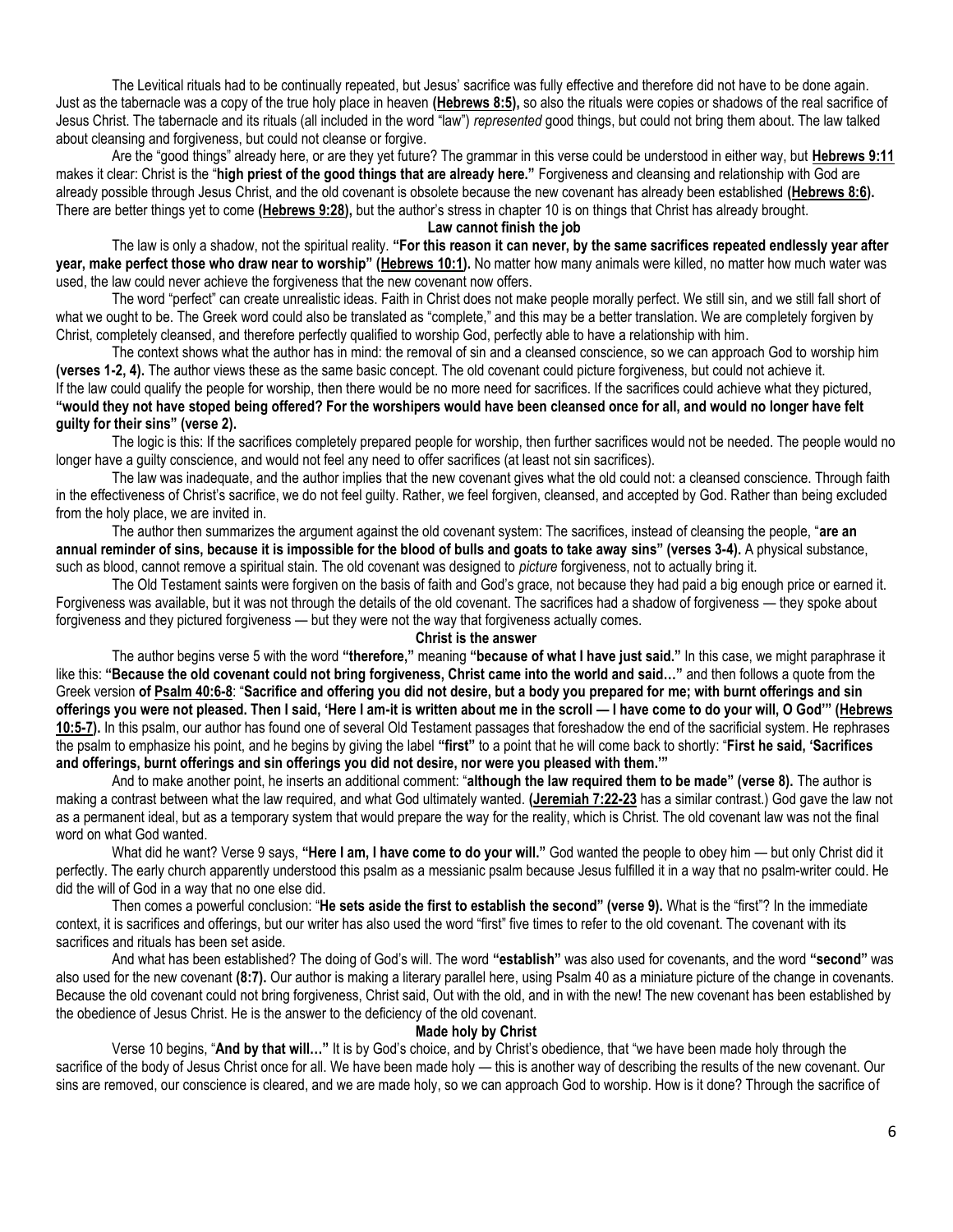The Levitical rituals had to be continually repeated, but Jesus' sacrifice was fully effective and therefore did not have to be done again. Just as the tabernacle was a copy of the true holy place in heaven **[\(Hebrews 8:5\)](https://biblia.com/bible/niv/Heb%208.5),** so also the rituals were copies or shadows of the real sacrifice of Jesus Christ. The tabernacle and its rituals (all included in the word "law") *represented* good things, but could not bring them about. The law talked about cleansing and forgiveness, but could not cleanse or forgive.

Are the "good things" already here, or are they yet future? The grammar in this verse could be understood in either way, but **[Hebrews 9:11](https://biblia.com/bible/niv/Heb%209.11)** makes it clear: Christ is the "**high priest of the good things that are already here."** Forgiveness and cleansing and relationship with God are already possible through Jesus Christ, and the old covenant is obsolete because the new covenant has already been established **[\(Hebrews 8:6\)](https://biblia.com/bible/niv/Heb%208.6).** There are better things yet to come **[\(Hebrews 9:28\)](https://biblia.com/bible/niv/Heb%209.28),** but the author's stress in chapter 10 is on things that Christ has already brought.

# **Law cannot finish the job**

The law is only a shadow, not the spiritual reality. **"For this reason it can never, by the same sacrifices repeated endlessly year after year, make perfect those who draw near to worship" ([Hebrews 10:1\)](https://biblia.com/bible/niv/Heb%2010.1).** No matter how many animals were killed, no matter how much water was used, the law could never achieve the forgiveness that the new covenant now offers.

The word "perfect" can create unrealistic ideas. Faith in Christ does not make people morally perfect. We still sin, and we still fall short of what we ought to be. The Greek word could also be translated as "complete," and this may be a better translation. We are completely forgiven by Christ, completely cleansed, and therefore perfectly qualified to worship God, perfectly able to have a relationship with him.

The context shows what the author has in mind: the removal of sin and a cleansed conscience, so we can approach God to worship him **(verses 1-2, 4).** The author views these as the same basic concept. The old covenant could picture forgiveness, but could not achieve it. If the law could qualify the people for worship, then there would be no more need for sacrifices. If the sacrifices could achieve what they pictured,

**"would they not have stoped being offered? For the worshipers would have been cleansed once for all, and would no longer have felt guilty for their sins" (verse 2).**

The logic is this: If the sacrifices completely prepared people for worship, then further sacrifices would not be needed. The people would no longer have a guilty conscience, and would not feel any need to offer sacrifices (at least not sin sacrifices).

The law was inadequate, and the author implies that the new covenant gives what the old could not: a cleansed conscience. Through faith in the effectiveness of Christ's sacrifice, we do not feel guilty. Rather, we feel forgiven, cleansed, and accepted by God. Rather than being excluded from the holy place, we are invited in.

The author then summarizes the argument against the old covenant system: The sacrifices, instead of cleansing the people, "**are an annual reminder of sins, because it is impossible for the blood of bulls and goats to take away sins" (verses 3-4).** A physical substance, such as blood, cannot remove a spiritual stain. The old covenant was designed to *picture* forgiveness, not to actually bring it.

The Old Testament saints were forgiven on the basis of faith and God's grace, not because they had paid a big enough price or earned it. Forgiveness was available, but it was not through the details of the old covenant. The sacrifices had a shadow of forgiveness — they spoke about forgiveness and they pictured forgiveness — but they were not the way that forgiveness actually comes.

#### **Christ is the answer**

The author begins verse 5 with the word **"therefore,"** meaning **"because of what I have just said."** In this case, we might paraphrase it like this: **"Because the old covenant could not bring forgiveness, Christ came into the world and said…"** and then follows a quote from the Greek version **o[f Psalm 40:6-8](https://biblia.com/bible/niv/Ps%2040.6-8)**: "**Sacrifice and offering you did not desire, but a body you prepared for me; with burnt offerings and sin offerings you were not pleased. Then I said, 'Here I am-it is written about me in the scroll — I have come to do your will, O God'" ([Hebrews](https://biblia.com/bible/niv/Heb%2010.5-7)  [10:5-7\)](https://biblia.com/bible/niv/Heb%2010.5-7).** In this psalm, our author has found one of several Old Testament passages that foreshadow the end of the sacrificial system. He rephrases the psalm to emphasize his point, and he begins by giving the label **"first"** to a point that he will come back to shortly: "**First he said, 'Sacrifices and offerings, burnt offerings and sin offerings you did not desire, nor were you pleased with them.'"**

And to make another point, he inserts an additional comment: "**although the law required them to be made" (verse 8).** The author is making a contrast between what the law required, and what God ultimately wanted. **[\(Jeremiah 7:22-23](https://biblia.com/bible/niv/Jer%207.22-23)** has a similar contrast.) God gave the law not as a permanent ideal, but as a temporary system that would prepare the way for the reality, which is Christ. The old covenant law was not the final word on what God wanted.

What did he want? Verse 9 says, **"Here I am, I have come to do your will."** God wanted the people to obey him — but only Christ did it perfectly. The early church apparently understood this psalm as a messianic psalm because Jesus fulfilled it in a way that no psalm-writer could. He did the will of God in a way that no one else did.

Then comes a powerful conclusion: "**He sets aside the first to establish the second" (verse 9).** What is the "first"? In the immediate context, it is sacrifices and offerings, but our writer has also used the word "first" five times to refer to the old covenant. The covenant with its sacrifices and rituals has been set aside.

And what has been established? The doing of God's will. The word **"establish"** was also used for covenants, and the word **"second"** was also used for the new covenant **(8:7).** Our author is making a literary parallel here, using Psalm 40 as a miniature picture of the change in covenants. Because the old covenant could not bring forgiveness, Christ said, Out with the old, and in with the new! The new covenant has been established by the obedience of Jesus Christ. He is the answer to the deficiency of the old covenant.

### **Made holy by Christ**

Verse 10 begins, "**And by that will…"** It is by God's choice, and by Christ's obedience, that "we have been made holy through the sacrifice of the body of Jesus Christ once for all. We have been made holy — this is another way of describing the results of the new covenant. Our sins are removed, our conscience is cleared, and we are made holy, so we can approach God to worship. How is it done? Through the sacrifice of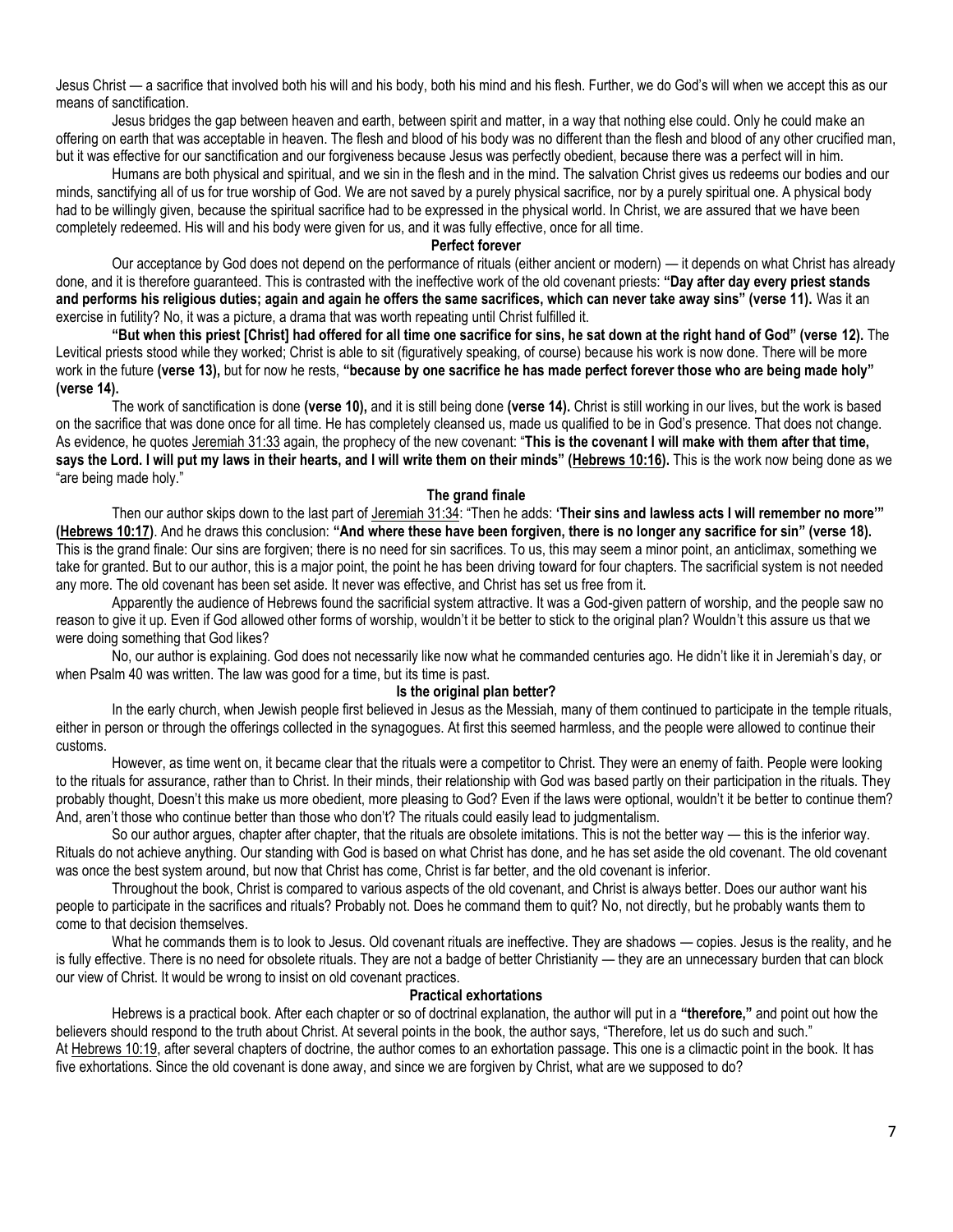Jesus Christ — a sacrifice that involved both his will and his body, both his mind and his flesh. Further, we do God's will when we accept this as our means of sanctification.

Jesus bridges the gap between heaven and earth, between spirit and matter, in a way that nothing else could. Only he could make an offering on earth that was acceptable in heaven. The flesh and blood of his body was no different than the flesh and blood of any other crucified man, but it was effective for our sanctification and our forgiveness because Jesus was perfectly obedient, because there was a perfect will in him.

Humans are both physical and spiritual, and we sin in the flesh and in the mind. The salvation Christ gives us redeems our bodies and our minds, sanctifying all of us for true worship of God. We are not saved by a purely physical sacrifice, nor by a purely spiritual one. A physical body had to be willingly given, because the spiritual sacrifice had to be expressed in the physical world. In Christ, we are assured that we have been completely redeemed. His will and his body were given for us, and it was fully effective, once for all time.

#### **Perfect forever**

Our acceptance by God does not depend on the performance of rituals (either ancient or modern) — it depends on what Christ has already done, and it is therefore guaranteed. This is contrasted with the ineffective work of the old covenant priests: **"Day after day every priest stands and performs his religious duties; again and again he offers the same sacrifices, which can never take away sins" (verse 11).** Was it an exercise in futility? No, it was a picture, a drama that was worth repeating until Christ fulfilled it.

**"But when this priest [Christ] had offered for all time one sacrifice for sins, he sat down at the right hand of God" (verse 12).** The Levitical priests stood while they worked; Christ is able to sit (figuratively speaking, of course) because his work is now done. There will be more work in the future **(verse 13),** but for now he rests, **"because by one sacrifice he has made perfect forever those who are being made holy" (verse 14).**

The work of sanctification is done **(verse 10),** and it is still being done **(verse 14).** Christ is still working in our lives, but the work is based on the sacrifice that was done once for all time. He has completely cleansed us, made us qualified to be in God's presence. That does not change. As evidence, he quote[s Jeremiah 31:33](https://biblia.com/bible/niv/Jer%2031.33) again, the prophecy of the new covenant: "**This is the covenant I will make with them after that time, says the Lord. I will put my laws in their hearts, and I will write them on their minds" ([Hebrews 10:16\)](https://biblia.com/bible/niv/Heb%2010.16).** This is the work now being done as we "are being made holy."

## **The grand finale**

Then our author skips down to the last part of [Jeremiah 31:34](https://biblia.com/bible/niv/Jer%2031.34): "Then he adds: **'Their sins and lawless acts I will remember no more'" [\(Hebrews 10:17\)](https://biblia.com/bible/niv/Heb%2010.17)**. And he draws this conclusion: **"And where these have been forgiven, there is no longer any sacrifice for sin" (verse 18).** This is the grand finale: Our sins are forgiven; there is no need for sin sacrifices. To us, this may seem a minor point, an anticlimax, something we take for granted. But to our author, this is a major point, the point he has been driving toward for four chapters. The sacrificial system is not needed any more. The old covenant has been set aside. It never was effective, and Christ has set us free from it.

Apparently the audience of Hebrews found the sacrificial system attractive. It was a God-given pattern of worship, and the people saw no reason to give it up. Even if God allowed other forms of worship, wouldn't it be better to stick to the original plan? Wouldn't this assure us that we were doing something that God likes?

No, our author is explaining. God does not necessarily like now what he commanded centuries ago. He didn't like it in Jeremiah's day, or when Psalm 40 was written. The law was good for a time, but its time is past.

## **Is the original plan better?**

In the early church, when Jewish people first believed in Jesus as the Messiah, many of them continued to participate in the temple rituals, either in person or through the offerings collected in the synagogues. At first this seemed harmless, and the people were allowed to continue their customs.

However, as time went on, it became clear that the rituals were a competitor to Christ. They were an enemy of faith. People were looking to the rituals for assurance, rather than to Christ. In their minds, their relationship with God was based partly on their participation in the rituals. They probably thought, Doesn't this make us more obedient, more pleasing to God? Even if the laws were optional, wouldn't it be better to continue them? And, aren't those who continue better than those who don't? The rituals could easily lead to judgmentalism.

So our author argues, chapter after chapter, that the rituals are obsolete imitations. This is not the better way — this is the inferior way. Rituals do not achieve anything. Our standing with God is based on what Christ has done, and he has set aside the old covenant. The old covenant was once the best system around, but now that Christ has come, Christ is far better, and the old covenant is inferior.

Throughout the book, Christ is compared to various aspects of the old covenant, and Christ is always better. Does our author want his people to participate in the sacrifices and rituals? Probably not. Does he command them to quit? No, not directly, but he probably wants them to come to that decision themselves.

What he commands them is to look to Jesus. Old covenant rituals are ineffective. They are shadows — copies. Jesus is the reality, and he is fully effective. There is no need for obsolete rituals. They are not a badge of better Christianity — they are an unnecessary burden that can block our view of Christ. It would be wrong to insist on old covenant practices.

## **Practical exhortations**

Hebrews is a practical book. After each chapter or so of doctrinal explanation, the author will put in a **"therefore,"** and point out how the believers should respond to the truth about Christ. At several points in the book, the author says, "Therefore, let us do such and such." At [Hebrews 10:19,](https://biblia.com/bible/niv/Heb%2010.19) after several chapters of doctrine, the author comes to an exhortation passage. This one is a climactic point in the book. It has five exhortations. Since the old covenant is done away, and since we are forgiven by Christ, what are we supposed to do?